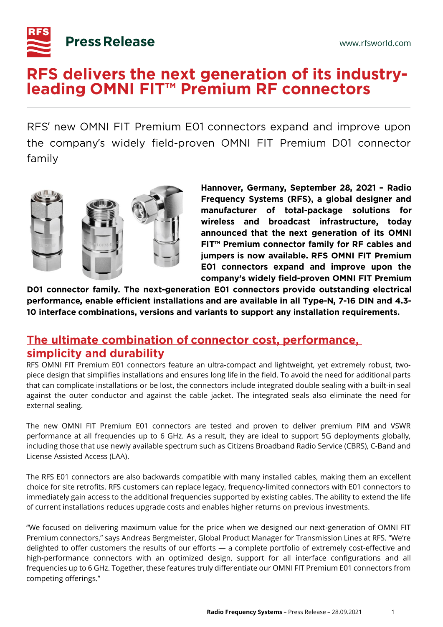

# RFS delivers the next generation of its industry-<br>leading OMNI FIT<sup>™</sup> Premium RF connectors

RFS' new OMNI FIT Premium E01 connectors expand and improve upon ' the company's widely field-proven OMNI FIT Premium D01 connector ' family



Hannover, Germany, September 28, 2021 - Radio Frequency Systems (RFS), a global designer and manufacturer of total-package solutions for wireless and broadcast infrastructure, today announced that the next generation of its OMNI FIT<sup>™</sup> Premium connector family for RF cables and jumpers is now available. RFS OMNI FIT Premium E01 connectors expand and improve upon the company's widely field-proven OMNI FIT Premium

D01 connector family. The next-generation E01 connectors provide outstanding electrical performance, enable efficient installations and are available in all Type-N, 7-16 DIN and 4.3-10 interface combinations, versions and variants to support any installation requirements.

## The ultimate combination of connector cost, performance, simplicity and durability

RFS OMNI FIT Premium E01 connectors feature an ultra-compact and lightweight, yet extremely robust, twopiece design that simplifies installations and ensures long life in the field. To avoid the need for additional parts that can complicate installations or be lost, the connectors include integrated double sealing with a built-in seal against the outer conductor and against the cable jacket. The integrated seals also eliminate the need for external sealing.

The new OMNI FIT Premium E01 connectors are tested and proven to deliver premium PIM and VSWR performance at all frequencies up to 6 GHz. As a result, they are ideal to support 5G deployments globally, including those that use newly available spectrum such as Citizens Broadband Radio Service (CBRS), C-Band and License Assisted Access (LAA).

The RFS E01 connectors are also backwards compatible with many installed cables, making them an excellent choice for site retrofits. RFS customers can replace legacy, frequency-limited connectors with E01 connectors to immediately gain access to the additional frequencies supported by existing cables. The ability to extend the life of current installations reduces upgrade costs and enables higher returns on previous investments.

"We focused on delivering maximum value for the price when we designed our next-generation of OMNI FIT Premium connectors," says Andreas Bergmeister, Global Product Manager for Transmission Lines at RFS. "We're delighted to offer customers the results of our efforts — a complete portfolio of extremely cost-effective and high-performance connectors with an optimized design, support for all interface configurations and all frequencies up to 6 GHz. Together, these features truly differentiate our OMNI FIT Premium E01 connectors from competing offerings."